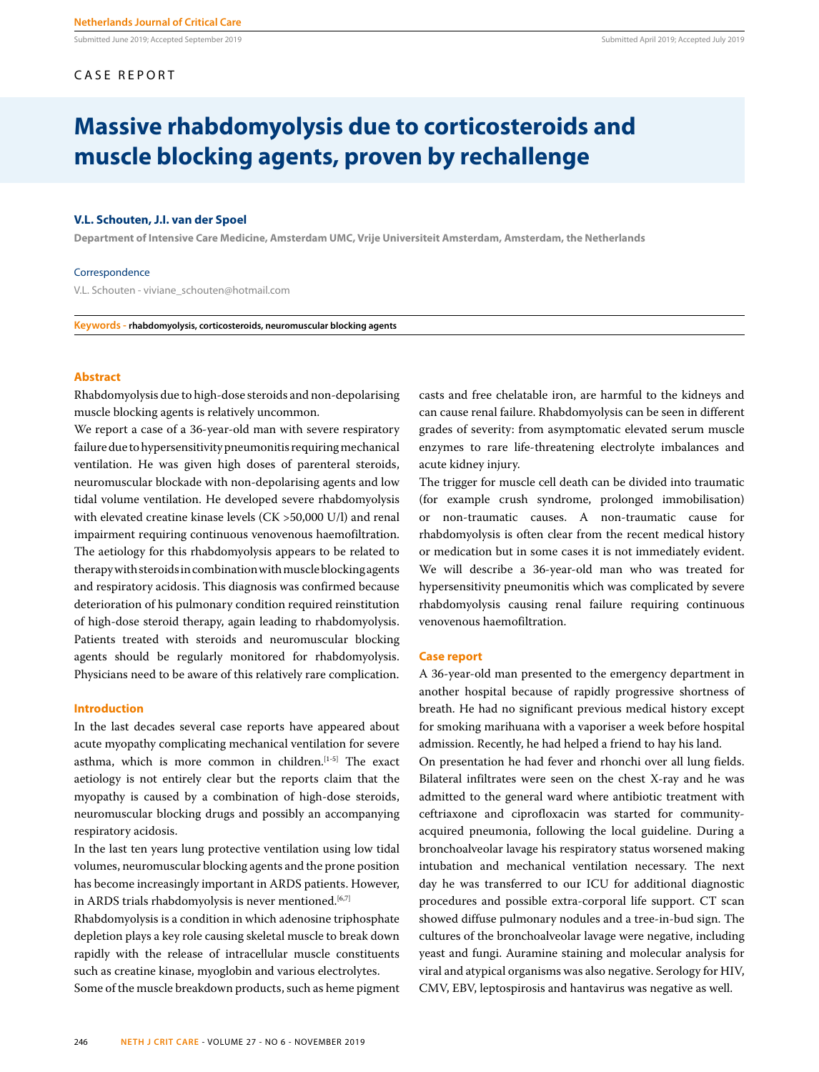Submitted June 2019; Accepted September 2019 Submitted April 2019; Accepted July 2019

# CASE REPORT

# **Massive rhabdomyolysis due to corticosteroids and muscle blocking agents, proven by rechallenge**

## **V.L. Schouten, J.I. van der Spoel**

**Department of Intensive Care Medicine, Amsterdam UMC, Vrije Universiteit Amsterdam, Amsterdam, the Netherlands**

#### Correspondence

V.L. Schouten - viviane\_schouten@hotmail.com

**Keywords - rhabdomyolysis, corticosteroids, neuromuscular blocking agents**

## **Abstract**

Rhabdomyolysis due to high-dose steroids and non-depolarising muscle blocking agents is relatively uncommon.

We report a case of a 36-year-old man with severe respiratory failure due to hypersensitivity pneumonitis requiring mechanical ventilation. He was given high doses of parenteral steroids, neuromuscular blockade with non-depolarising agents and low tidal volume ventilation. He developed severe rhabdomyolysis with elevated creatine kinase levels (CK >50,000 U/l) and renal impairment requiring continuous venovenous haemofiltration. The aetiology for this rhabdomyolysis appears to be related to therapy with steroids in combination with muscle blocking agents and respiratory acidosis. This diagnosis was confirmed because deterioration of his pulmonary condition required reinstitution of high-dose steroid therapy, again leading to rhabdomyolysis. Patients treated with steroids and neuromuscular blocking agents should be regularly monitored for rhabdomyolysis. Physicians need to be aware of this relatively rare complication.

# **Introduction**

In the last decades several case reports have appeared about acute myopathy complicating mechanical ventilation for severe asthma, which is more common in children.<sup>[1-5]</sup> The exact aetiology is not entirely clear but the reports claim that the myopathy is caused by a combination of high-dose steroids, neuromuscular blocking drugs and possibly an accompanying respiratory acidosis.

In the last ten years lung protective ventilation using low tidal volumes, neuromuscular blocking agents and the prone position has become increasingly important in ARDS patients. However, in ARDS trials rhabdomyolysis is never mentioned.<sup>[6,7]</sup>

Rhabdomyolysis is a condition in which adenosine triphosphate depletion plays a key role causing skeletal muscle to break down rapidly with the release of intracellular muscle constituents such as creatine kinase, myoglobin and various electrolytes. Some of the muscle breakdown products, such as heme pigment

246 **NETH J CRIT CARE** - VOLUME 27 - NO 6 - NOVEMBER 2019

casts and free chelatable iron, are harmful to the kidneys and can cause renal failure. Rhabdomyolysis can be seen in different grades of severity: from asymptomatic elevated serum muscle enzymes to rare life-threatening electrolyte imbalances and acute kidney injury.

The trigger for muscle cell death can be divided into traumatic (for example crush syndrome, prolonged immobilisation) or non-traumatic causes. A non-traumatic cause for rhabdomyolysis is often clear from the recent medical history or medication but in some cases it is not immediately evident. We will describe a 36-year-old man who was treated for hypersensitivity pneumonitis which was complicated by severe rhabdomyolysis causing renal failure requiring continuous venovenous haemofiltration.

## **Case report**

A 36-year-old man presented to the emergency department in another hospital because of rapidly progressive shortness of breath. He had no significant previous medical history except for smoking marihuana with a vaporiser a week before hospital admission. Recently, he had helped a friend to hay his land.

On presentation he had fever and rhonchi over all lung fields. Bilateral infiltrates were seen on the chest X-ray and he was admitted to the general ward where antibiotic treatment with ceftriaxone and ciprofloxacin was started for communityacquired pneumonia, following the local guideline. During a bronchoalveolar lavage his respiratory status worsened making intubation and mechanical ventilation necessary. The next day he was transferred to our ICU for additional diagnostic procedures and possible extra-corporal life support. CT scan showed diffuse pulmonary nodules and a tree-in-bud sign. The cultures of the bronchoalveolar lavage were negative, including yeast and fungi. Auramine staining and molecular analysis for viral and atypical organisms was also negative. Serology for HIV, CMV, EBV, leptospirosis and hantavirus was negative as well.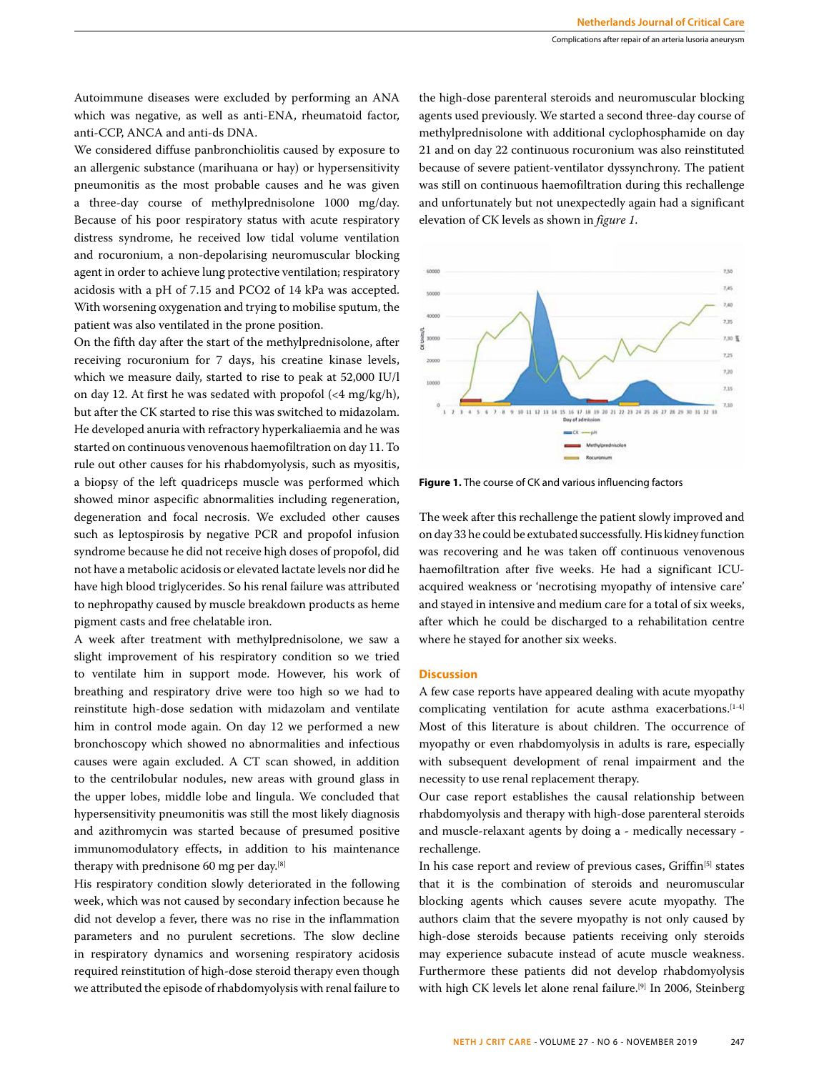Autoimmune diseases were excluded by performing an ANA which was negative, as well as anti-ENA, rheumatoid factor, anti-CCP, ANCA and anti-ds DNA.

We considered diffuse panbronchiolitis caused by exposure to an allergenic substance (marihuana or hay) or hypersensitivity pneumonitis as the most probable causes and he was given a three-day course of methylprednisolone 1000 mg/day. Because of his poor respiratory status with acute respiratory distress syndrome, he received low tidal volume ventilation and rocuronium, a non-depolarising neuromuscular blocking agent in order to achieve lung protective ventilation; respiratory acidosis with a pH of 7.15 and PCO2 of 14 kPa was accepted. With worsening oxygenation and trying to mobilise sputum, the patient was also ventilated in the prone position.

On the fifth day after the start of the methylprednisolone, after receiving rocuronium for 7 days, his creatine kinase levels, which we measure daily, started to rise to peak at 52,000 IU/l on day 12. At first he was sedated with propofol  $($ <4 mg/kg/h $)$ , but after the CK started to rise this was switched to midazolam. He developed anuria with refractory hyperkaliaemia and he was started on continuous venovenous haemofiltration on day 11. To rule out other causes for his rhabdomyolysis, such as myositis, a biopsy of the left quadriceps muscle was performed which showed minor aspecific abnormalities including regeneration, degeneration and focal necrosis. We excluded other causes such as leptospirosis by negative PCR and propofol infusion syndrome because he did not receive high doses of propofol, did not have a metabolic acidosis or elevated lactate levels nor did he have high blood triglycerides. So his renal failure was attributed to nephropathy caused by muscle breakdown products as heme pigment casts and free chelatable iron.

A week after treatment with methylprednisolone, we saw a slight improvement of his respiratory condition so we tried to ventilate him in support mode. However, his work of breathing and respiratory drive were too high so we had to reinstitute high-dose sedation with midazolam and ventilate him in control mode again. On day 12 we performed a new bronchoscopy which showed no abnormalities and infectious causes were again excluded. A CT scan showed, in addition to the centrilobular nodules, new areas with ground glass in the upper lobes, middle lobe and lingula. We concluded that hypersensitivity pneumonitis was still the most likely diagnosis and azithromycin was started because of presumed positive immunomodulatory effects, in addition to his maintenance therapy with prednisone 60 mg per day.[8]

His respiratory condition slowly deteriorated in the following week, which was not caused by secondary infection because he did not develop a fever, there was no rise in the inflammation parameters and no purulent secretions. The slow decline in respiratory dynamics and worsening respiratory acidosis required reinstitution of high-dose steroid therapy even though we attributed the episode of rhabdomyolysis with renal failure to

the high-dose parenteral steroids and neuromuscular blocking agents used previously. We started a second three-day course of methylprednisolone with additional cyclophosphamide on day 21 and on day 22 continuous rocuronium was also reinstituted because of severe patient-ventilator dyssynchrony. The patient was still on continuous haemofiltration during this rechallenge and unfortunately but not unexpectedly again had a significant elevation of CK levels as shown in *figure 1*.



**Figure 1.** The course of CK and various influencing factors

The week after this rechallenge the patient slowly improved and on day 33 he could be extubated successfully. His kidney function was recovering and he was taken off continuous venovenous haemofiltration after five weeks. He had a significant ICUacquired weakness or 'necrotising myopathy of intensive care' and stayed in intensive and medium care for a total of six weeks, after which he could be discharged to a rehabilitation centre where he stayed for another six weeks.

#### **Discussion**

A few case reports have appeared dealing with acute myopathy complicating ventilation for acute asthma exacerbations.<sup>[1-4]</sup> Most of this literature is about children. The occurrence of myopathy or even rhabdomyolysis in adults is rare, especially with subsequent development of renal impairment and the necessity to use renal replacement therapy.

Our case report establishes the causal relationship between rhabdomyolysis and therapy with high-dose parenteral steroids and muscle-relaxant agents by doing a - medically necessary rechallenge.

In his case report and review of previous cases, Griffin<sup>[5]</sup> states that it is the combination of steroids and neuromuscular blocking agents which causes severe acute myopathy. The authors claim that the severe myopathy is not only caused by high-dose steroids because patients receiving only steroids may experience subacute instead of acute muscle weakness. Furthermore these patients did not develop rhabdomyolysis with high CK levels let alone renal failure.<sup>[9]</sup> In 2006, Steinberg